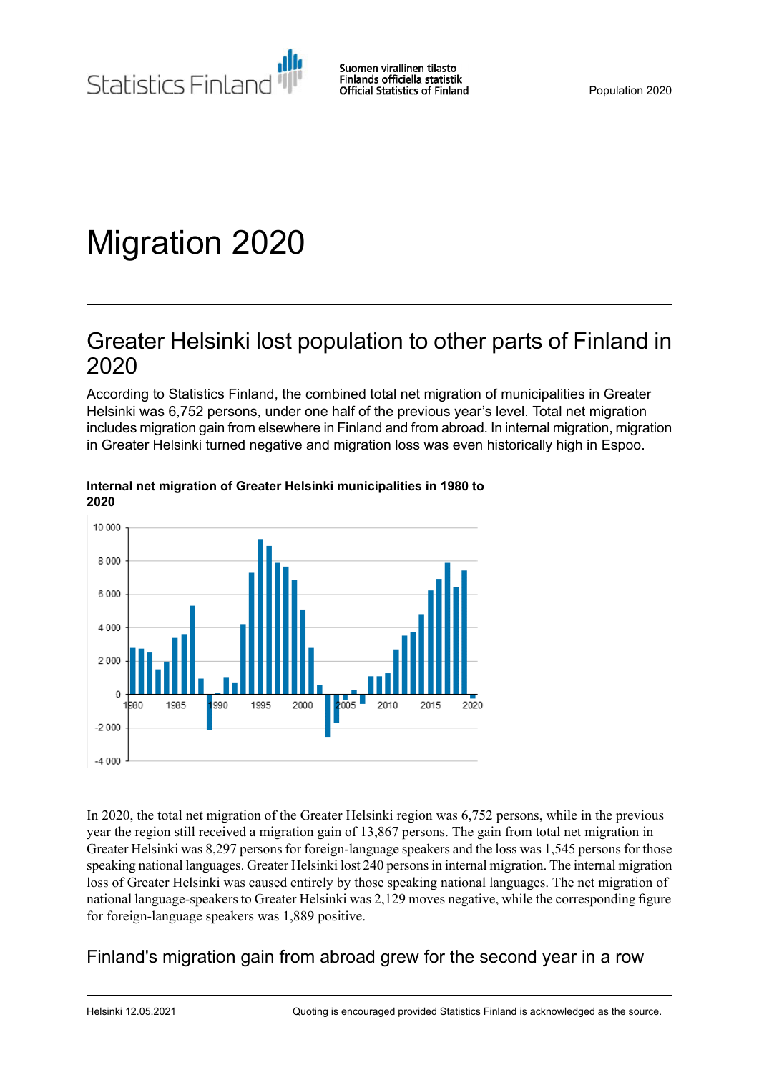Statistics Finland

# Migration 2020

## Greater Helsinki lost population to other parts of Finland in 2020

According to Statistics Finland, the combined total net migration of municipalities in Greater Helsinki was 6,752 persons, under one half of the previous year's level. Total net migration includes migration gain from elsewhere in Finland and from abroad. In internal migration, migration in Greater Helsinki turned negative and migration loss was even historically high in Espoo.



#### **Internal net migration of Greater Helsinki municipalities in 1980 to 2020**

In 2020, the total net migration of the Greater Helsinki region was 6,752 persons, while in the previous year the region still received a migration gain of 13,867 persons. The gain from total net migration in Greater Helsinki was 8,297 persons for foreign-language speakers and the loss was 1,545 persons for those speaking national languages. Greater Helsinki lost 240 personsin internal migration. The internal migration loss of Greater Helsinki was caused entirely by those speaking national languages. The net migration of national language-speakers to Greater Helsinki was 2,129 moves negative, while the corresponding figure for foreign-language speakers was 1,889 positive.

## Finland's migration gain from abroad grew for the second year in a row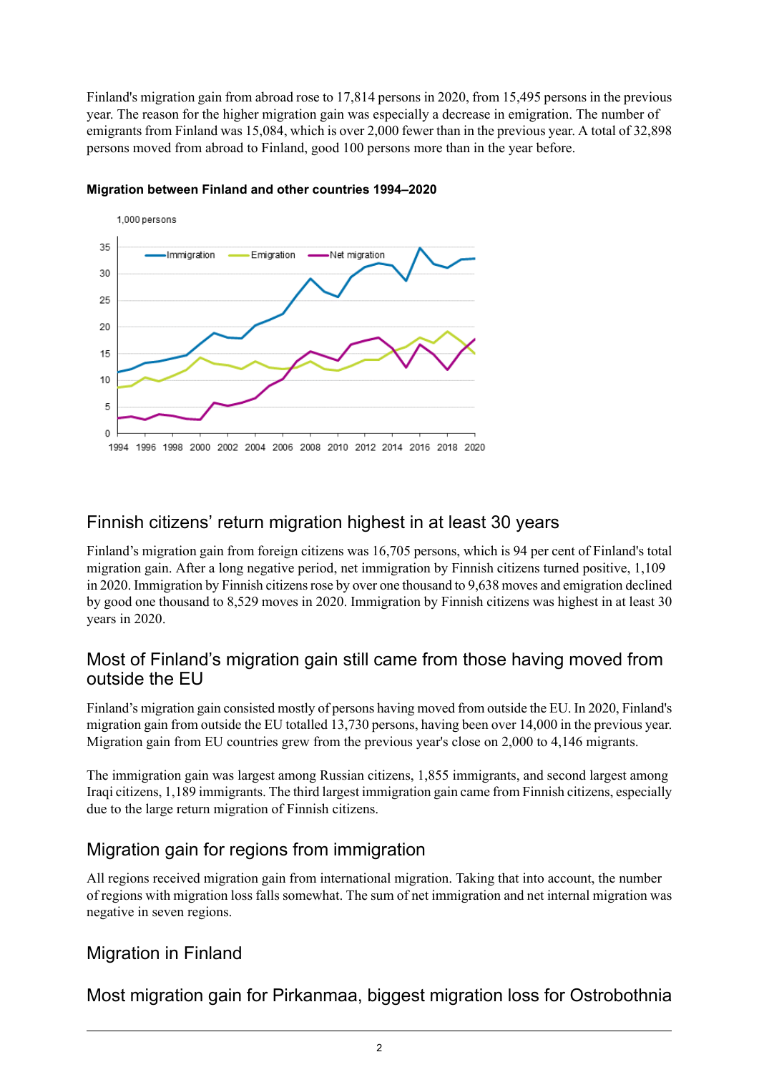Finland's migration gain from abroad rose to 17,814 persons in 2020, from 15,495 persons in the previous year. The reason for the higher migration gain was especially a decrease in emigration. The number of emigrants from Finland was 15,084, which is over 2,000 fewer than in the previous year. A total of 32,898 persons moved from abroad to Finland, good 100 persons more than in the year before.



### **Migration between Finland and other countries 1994–2020**

## Finnish citizens' return migration highest in at least 30 years

Finland's migration gain from foreign citizens was 16,705 persons, which is 94 per cent of Finland's total migration gain. After a long negative period, net immigration by Finnish citizens turned positive, 1,109 in 2020. Immigration by Finnish citizens rose by over one thousand to  $9,638$  moves and emigration declined by good one thousand to 8,529 moves in 2020. Immigration by Finnish citizens was highest in at least 30 years in 2020.

### Most of Finland's migration gain still came from those having moved from outside the EU

Finland's migration gain consisted mostly of persons having moved from outside the EU. In 2020, Finland's migration gain from outside the EU totalled 13,730 persons, having been over 14,000 in the previous year. Migration gain from EU countries grew from the previous year's close on 2,000 to 4,146 migrants.

The immigration gain was largest among Russian citizens, 1,855 immigrants, and second largest among Iraqi citizens, 1,189 immigrants. The third largest immigration gain came from Finnish citizens, especially due to the large return migration of Finnish citizens.

## Migration gain for regions from immigration

All regions received migration gain from international migration. Taking that into account, the number of regions with migration loss falls somewhat. The sum of net immigration and net internal migration was negative in seven regions.

## Migration in Finland

Most migration gain for Pirkanmaa, biggest migration loss for Ostrobothnia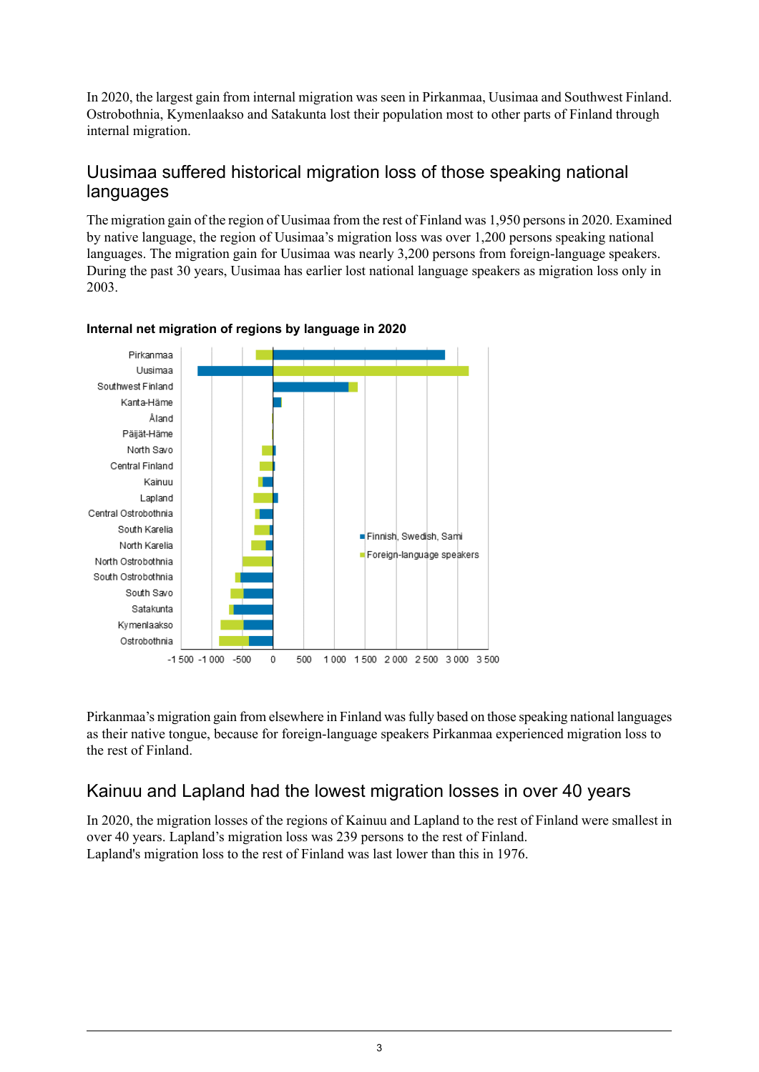In 2020, the largest gain from internal migration was seen in Pirkanmaa, Uusimaa and Southwest Finland. Ostrobothnia, Kymenlaakso and Satakunta lost their population most to other parts of Finland through internal migration.

### Uusimaa suffered historical migration loss of those speaking national languages

The migration gain of the region of Uusimaa from the rest of Finland was 1,950 personsin 2020. Examined by native language, the region of Uusimaa's migration loss was over 1,200 persons speaking national languages. The migration gain for Uusimaa was nearly 3,200 persons from foreign-language speakers. During the past 30 years, Uusimaa has earlier lost national language speakers as migration loss only in 2003.



### **Internal net migration of regions by language in 2020**

Pirkanmaa's migration gain from elsewhere in Finland was fully based on those speaking national languages as their native tongue, because for foreign-language speakers Pirkanmaa experienced migration loss to the rest of Finland.

## Kainuu and Lapland had the lowest migration losses in over 40 years

In 2020, the migration losses of the regions of Kainuu and Lapland to the rest of Finland were smallest in over 40 years. Lapland's migration loss was 239 persons to the rest of Finland. Lapland's migration loss to the rest of Finland was last lower than this in 1976.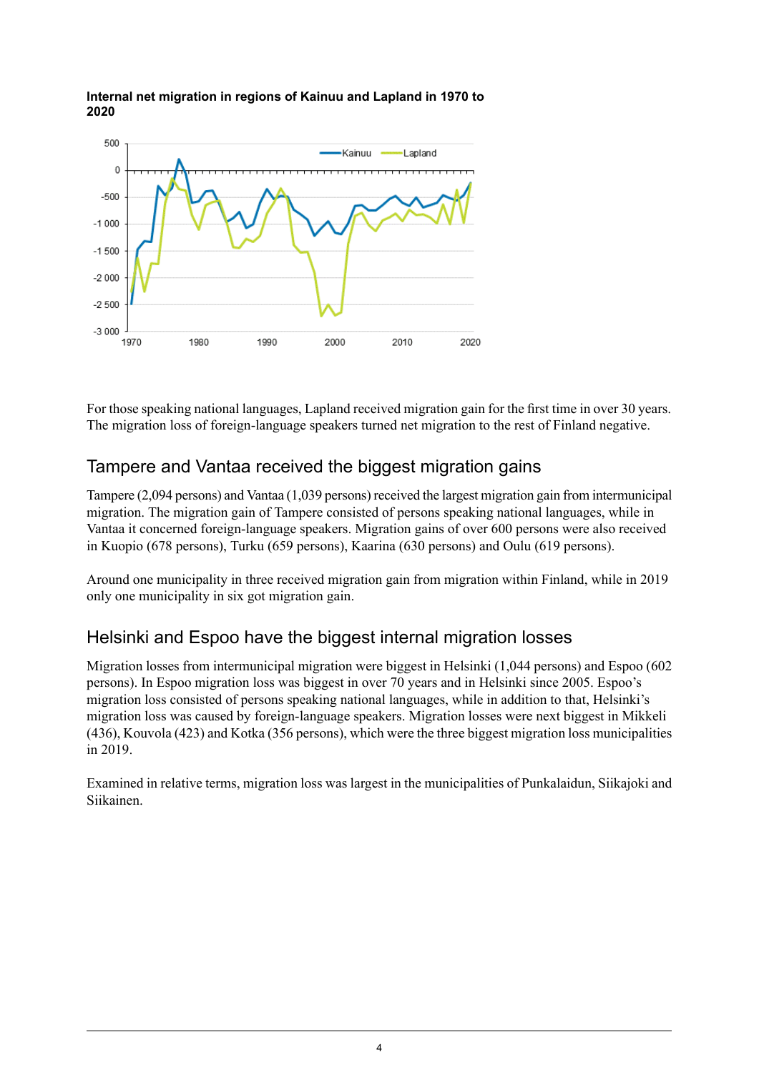

#### **Internal net migration in regions of Kainuu and Lapland in 1970 to 2020**

For those speaking national languages, Lapland received migration gain for the first time in over 30 years. The migration loss of foreign-language speakers turned net migration to the rest of Finland negative.

## Tampere and Vantaa received the biggest migration gains

Tampere (2,094 persons) and Vantaa (1,039 persons) received the largest migration gain from intermunicipal migration. The migration gain of Tampere consisted of persons speaking national languages, while in Vantaa it concerned foreign-language speakers. Migration gains of over 600 persons were also received in Kuopio (678 persons), Turku (659 persons), Kaarina (630 persons) and Oulu (619 persons).

Around one municipality in three received migration gain from migration within Finland, while in 2019 only one municipality in six got migration gain.

## Helsinki and Espoo have the biggest internal migration losses

Migration losses from intermunicipal migration were biggest in Helsinki (1,044 persons) and Espoo (602 persons). In Espoo migration loss was biggest in over 70 years and in Helsinki since 2005. Espoo's migration loss consisted of persons speaking national languages, while in addition to that, Helsinki's migration loss was caused by foreign-language speakers. Migration losses were next biggest in Mikkeli (436), Kouvola (423) and Kotka (356 persons), which were the three biggest migration loss municipalities in 2019.

Examined in relative terms, migration loss was largest in the municipalities of Punkalaidun, Siikajoki and Siikainen.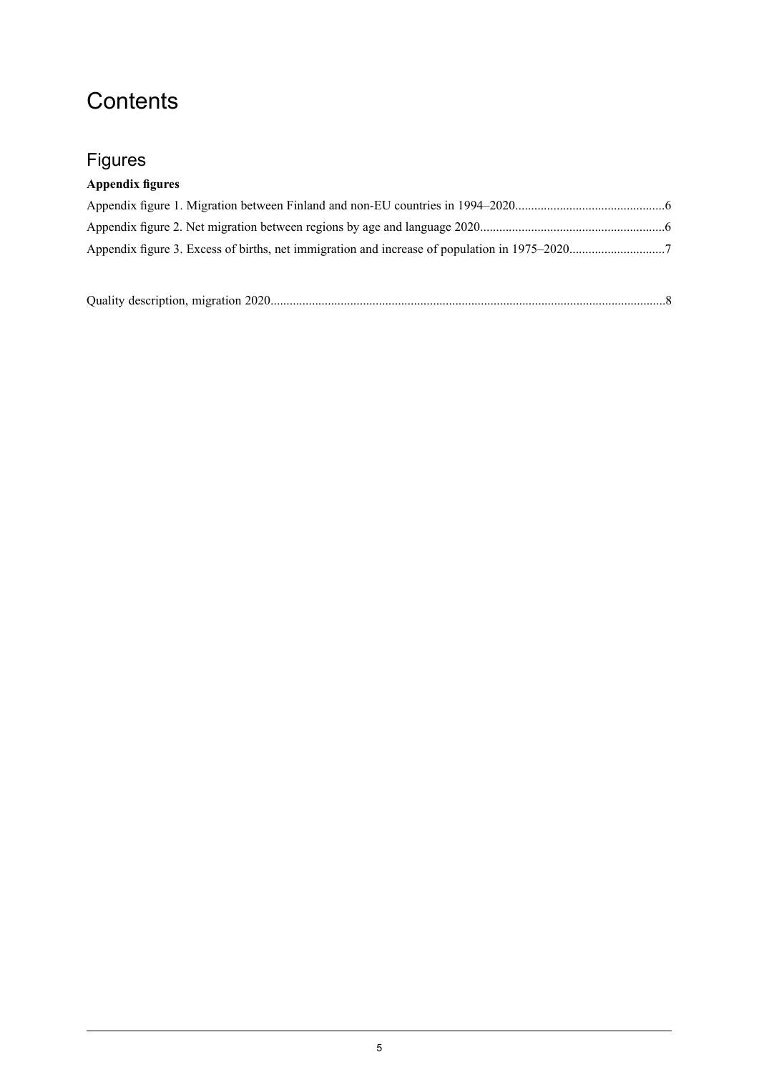## **Contents**

## Figures

## **Appendix figures**

|--|--|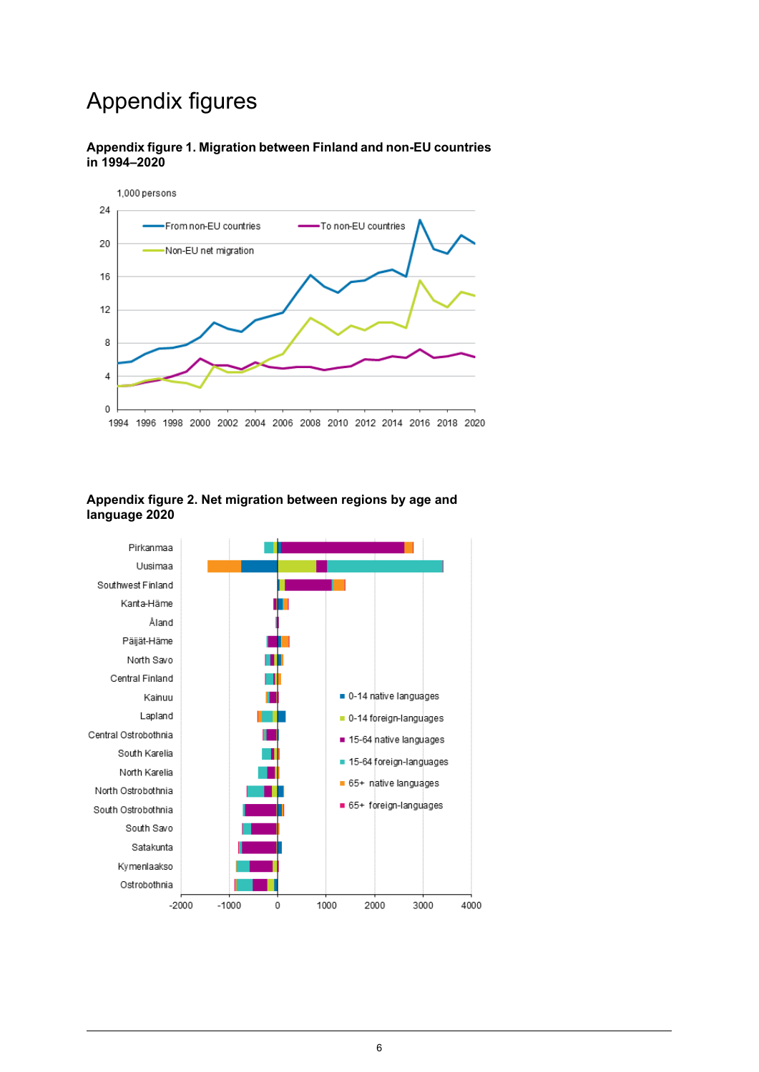## Appendix figures

<span id="page-5-0"></span>



#### <span id="page-5-1"></span>**Appendix figure 2. Net migration between regions by age and language 2020**

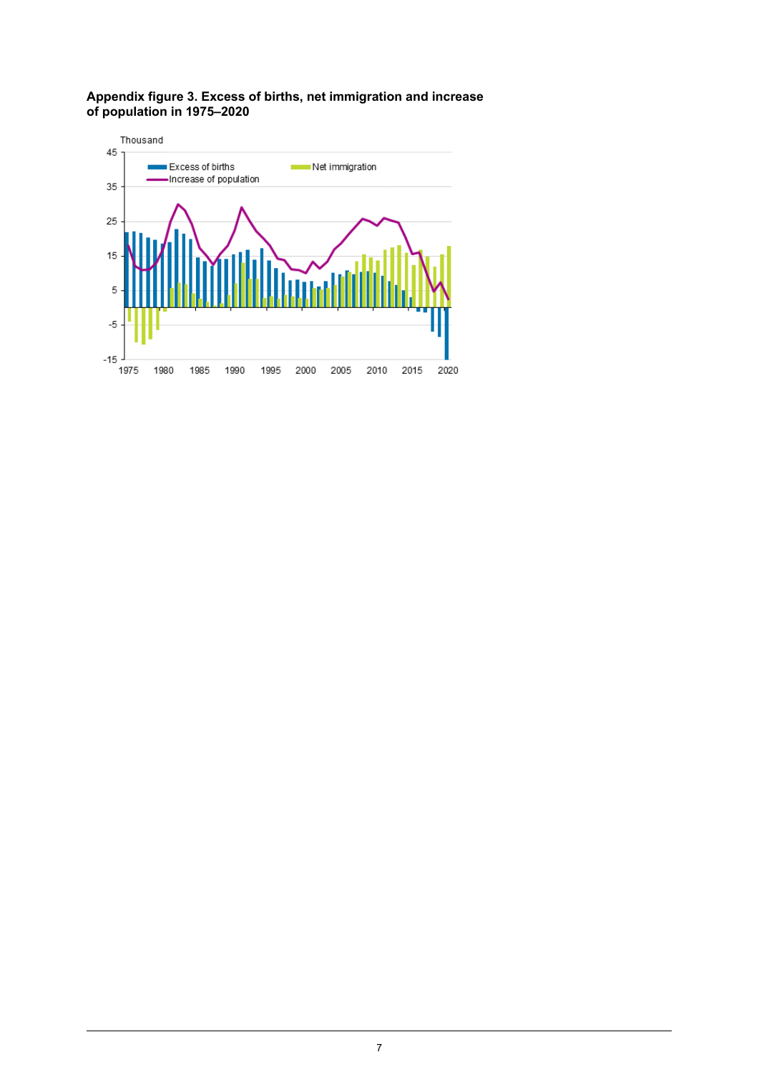#### <span id="page-6-0"></span>**Appendix figure 3. Excess of births, net immigration and increase of population in 1975–2020**

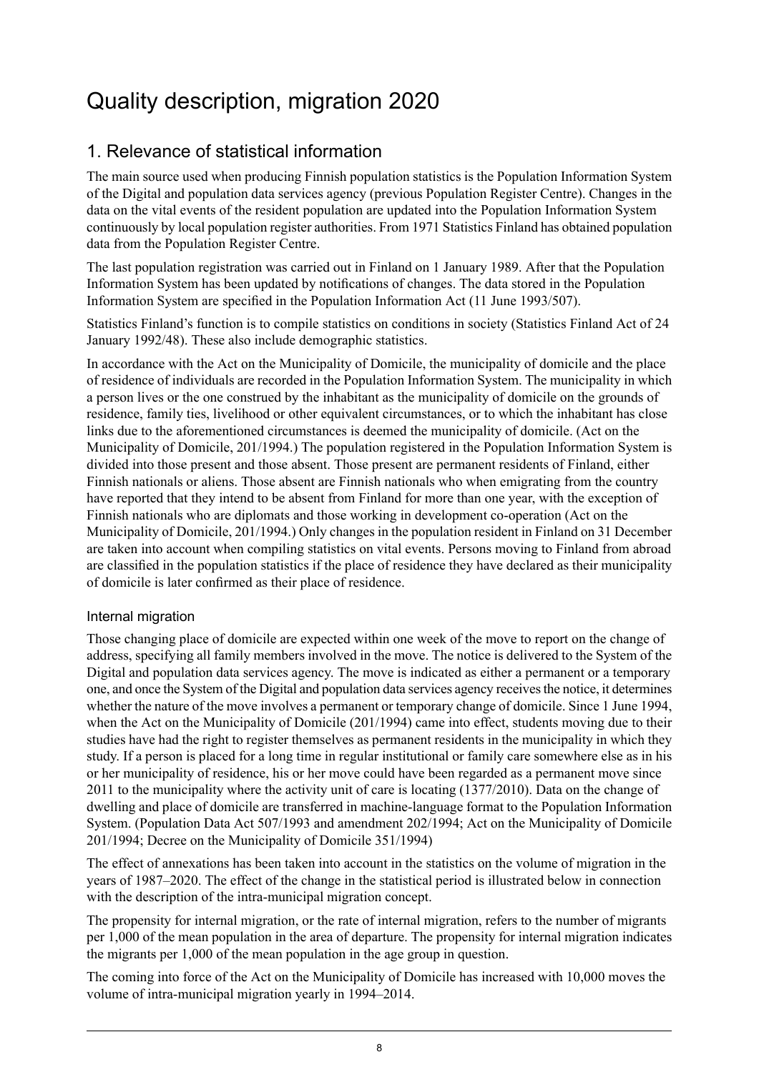## <span id="page-7-0"></span>Quality description, migration 2020

## 1. Relevance of statistical information

The main source used when producing Finnish population statistics is the Population Information System of the Digital and population data services agency (previous Population Register Centre). Changes in the data on the vital events of the resident population are updated into the Population Information System continuously by local population register authorities. From 1971 Statistics Finland has obtained population data from the Population Register Centre.

The last population registration was carried out in Finland on 1 January 1989. After that the Population Information System has been updated by notifications of changes. The data stored in the Population Information System are specified in the Population Information Act (11 June 1993/507).

Statistics Finland's function is to compile statistics on conditions in society (Statistics Finland Act of 24 January 1992/48). These also include demographic statistics.

In accordance with the Act on the Municipality of Domicile, the municipality of domicile and the place of residence of individuals are recorded in the Population Information System. The municipality in which a person lives or the one construed by the inhabitant as the municipality of domicile on the grounds of residence, family ties, livelihood or other equivalent circumstances, or to which the inhabitant has close links due to the aforementioned circumstances is deemed the municipality of domicile. (Act on the Municipality of Domicile, 201/1994.) The population registered in the Population Information System is divided into those present and those absent. Those present are permanent residents of Finland, either Finnish nationals or aliens. Those absent are Finnish nationals who when emigrating from the country have reported that they intend to be absent from Finland for more than one year, with the exception of Finnish nationals who are diplomats and those working in development co-operation (Act on the Municipality of Domicile, 201/1994.) Only changes in the population resident in Finland on 31 December are taken into account when compiling statistics on vital events. Persons moving to Finland from abroad are classified in the population statistics if the place of residence they have declared as their municipality of domicile is later confirmed as their place of residence.

### Internal migration

Those changing place of domicile are expected within one week of the move to report on the change of address, specifying all family members involved in the move. The notice is delivered to the System of the Digital and population data services agency. The move is indicated as either a permanent or a temporary one, and once the System of the Digital and population data services agency receivesthe notice, it determines whether the nature of the move involves a permanent or temporary change of domicile. Since 1 June 1994, when the Act on the Municipality of Domicile (201/1994) came into effect, students moving due to their studies have had the right to register themselves as permanent residents in the municipality in which they study. If a person is placed for a long time in regular institutional or family care somewhere else as in his or her municipality of residence, his or her move could have been regarded as a permanent move since 2011 to the municipality where the activity unit of care is locating (1377/2010). Data on the change of dwelling and place of domicile are transferred in machine-language format to the Population Information System. (Population Data Act 507/1993 and amendment 202/1994; Act on the Municipality of Domicile 201/1994; Decree on the Municipality of Domicile 351/1994)

The effect of annexations has been taken into account in the statistics on the volume of migration in the years of 1987–2020. The effect of the change in the statistical period is illustrated below in connection with the description of the intra-municipal migration concept.

The propensity for internal migration, or the rate of internal migration, refers to the number of migrants per 1,000 of the mean population in the area of departure. The propensity for internal migration indicates the migrants per 1,000 of the mean population in the age group in question.

The coming into force of the Act on the Municipality of Domicile has increased with 10,000 moves the volume of intra-municipal migration yearly in 1994–2014.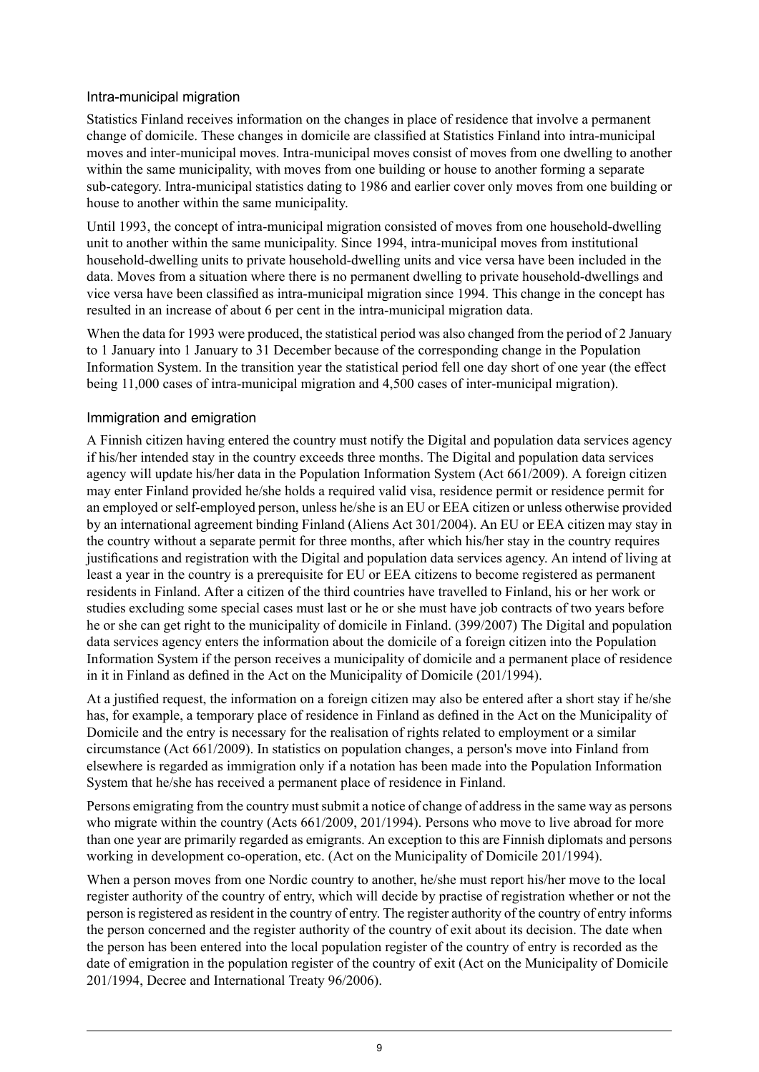### Intra-municipal migration

Statistics Finland receives information on the changes in place of residence that involve a permanent change of domicile. These changes in domicile are classified at Statistics Finland into intra-municipal moves and inter-municipal moves. Intra-municipal moves consist of moves from one dwelling to another within the same municipality, with moves from one building or house to another forming a separate sub-category. Intra-municipal statistics dating to 1986 and earlier cover only moves from one building or house to another within the same municipality.

Until 1993, the concept of intra-municipal migration consisted of moves from one household-dwelling unit to another within the same municipality. Since 1994, intra-municipal moves from institutional household-dwelling units to private household-dwelling units and vice versa have been included in the data. Moves from a situation where there is no permanent dwelling to private household-dwellings and vice versa have been classified as intra-municipal migration since 1994. This change in the concept has resulted in an increase of about 6 per cent in the intra-municipal migration data.

When the data for 1993 were produced, the statistical period was also changed from the period of 2 January to 1 January into 1 January to 31 December because of the corresponding change in the Population Information System. In the transition year the statistical period fell one day short of one year (the effect being 11,000 cases of intra-municipal migration and 4,500 cases of inter-municipal migration).

### Immigration and emigration

A Finnish citizen having entered the country must notify the Digital and population data services agency if his/her intended stay in the country exceeds three months. The Digital and population data services agency will update his/her data in the Population Information System (Act 661/2009). A foreign citizen may enter Finland provided he/she holds a required valid visa, residence permit or residence permit for an employed or self-employed person, unless he/she is an EU or EEA citizen or unless otherwise provided by an international agreement binding Finland (Aliens Act 301/2004). An EU or EEA citizen may stay in the country without a separate permit for three months, after which his/her stay in the country requires justifications and registration with the Digital and population data services agency. An intend of living at least a year in the country is a prerequisite for EU or EEA citizens to become registered as permanent residents in Finland. After a citizen of the third countries have travelled to Finland, his or her work or studies excluding some special cases must last or he or she must have job contracts of two years before he or she can get right to the municipality of domicile in Finland. (399/2007) The Digital and population data services agency enters the information about the domicile of a foreign citizen into the Population Information System if the person receives a municipality of domicile and a permanent place of residence in it in Finland as defined in the Act on the Municipality of Domicile (201/1994).

At a justified request, the information on a foreign citizen may also be entered after a short stay if he/she has, for example, a temporary place of residence in Finland as defined in the Act on the Municipality of Domicile and the entry is necessary for the realisation of rights related to employment or a similar circumstance (Act 661/2009). In statistics on population changes, a person's move into Finland from elsewhere is regarded as immigration only if a notation has been made into the Population Information System that he/she has received a permanent place of residence in Finland.

Persons emigrating from the country must submit a notice of change of address in the same way as persons who migrate within the country (Acts 661/2009, 201/1994). Persons who move to live abroad for more than one year are primarily regarded as emigrants. An exception to this are Finnish diplomats and persons working in development co-operation, etc. (Act on the Municipality of Domicile 201/1994).

When a person moves from one Nordic country to another, he/she must report his/her move to the local register authority of the country of entry, which will decide by practise of registration whether or not the person is registered as resident in the country of entry. The register authority of the country of entry informs the person concerned and the register authority of the country of exit about its decision. The date when the person has been entered into the local population register of the country of entry is recorded as the date of emigration in the population register of the country of exit (Act on the Municipality of Domicile 201/1994, Decree and International Treaty 96/2006).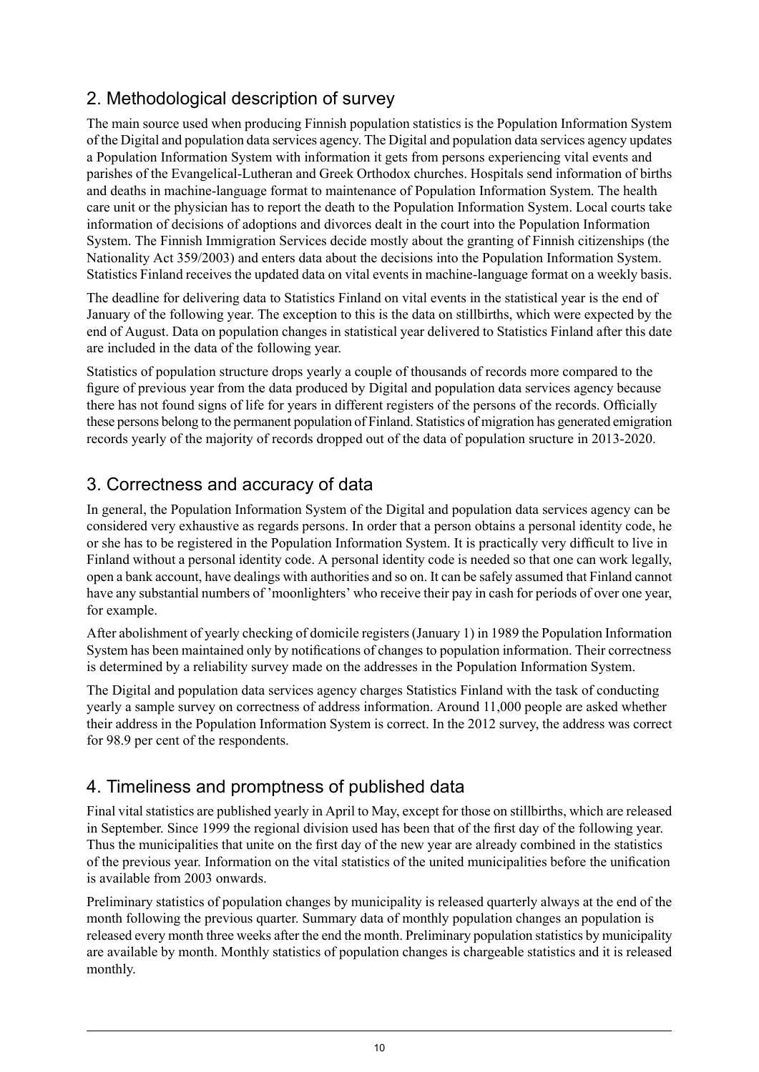## 2. Methodological description of survey

The main source used when producing Finnish population statistics is the Population Information System of the Digital and population data services agency. The Digital and population data services agency updates a Population Information System with information it gets from persons experiencing vital events and parishes of the Evangelical-Lutheran and Greek Orthodox churches. Hospitals send information of births and deaths in machine-language format to maintenance of Population Information System. The health care unit or the physician has to report the death to the Population Information System. Local courts take information of decisions of adoptions and divorces dealt in the court into the Population Information System. The Finnish Immigration Services decide mostly about the granting of Finnish citizenships (the Nationality Act 359/2003) and enters data about the decisions into the Population Information System. Statistics Finland receives the updated data on vital events in machine-language format on a weekly basis.

The deadline for delivering data to Statistics Finland on vital events in the statistical year is the end of January of the following year. The exception to this is the data on stillbirths, which were expected by the end of August. Data on population changes in statistical year delivered to Statistics Finland after this date are included in the data of the following year.

Statistics of population structure drops yearly a couple of thousands of records more compared to the figure of previous year from the data produced by Digital and population data services agency because there has not found signs of life for years in different registers of the persons of the records. Officially these persons belong to the permanent population of Finland. Statistics of migration has generated emigration records yearly of the majority of records dropped out of the data of population sructure in 2013-2020.

## 3. Correctness and accuracy of data

In general, the Population Information System of the Digital and population data services agency can be considered very exhaustive as regards persons. In order that a person obtains a personal identity code, he or she has to be registered in the Population Information System. It is practically very difficult to live in Finland without a personal identity code. A personal identity code is needed so that one can work legally, open a bank account, have dealings with authorities and so on. It can be safely assumed that Finland cannot have any substantial numbers of 'moonlighters' who receive their pay in cash for periods of over one year, for example.

After abolishment of yearly checking of domicile registers (January 1) in 1989 the Population Information System has been maintained only by notifications of changes to population information. Their correctness is determined by a reliability survey made on the addresses in the Population Information System.

The Digital and population data services agency charges Statistics Finland with the task of conducting yearly a sample survey on correctness of address information. Around 11,000 people are asked whether their address in the Population Information System is correct. In the 2012 survey, the address was correct for 98.9 per cent of the respondents.

## 4. Timeliness and promptness of published data

Final vital statistics are published yearly in April to May, except for those on stillbirths, which are released in September. Since 1999 the regional division used has been that of the first day of the following year. Thus the municipalities that unite on the first day of the new year are already combined in the statistics of the previous year. Information on the vital statistics of the united municipalities before the unification is available from 2003 onwards.

Preliminary statistics of population changes by municipality is released quarterly always at the end of the month following the previous quarter. Summary data of monthly population changes an population is released every month three weeks after the end the month. Preliminary population statistics by municipality are available by month. Monthly statistics of population changes is chargeable statistics and it is released monthly.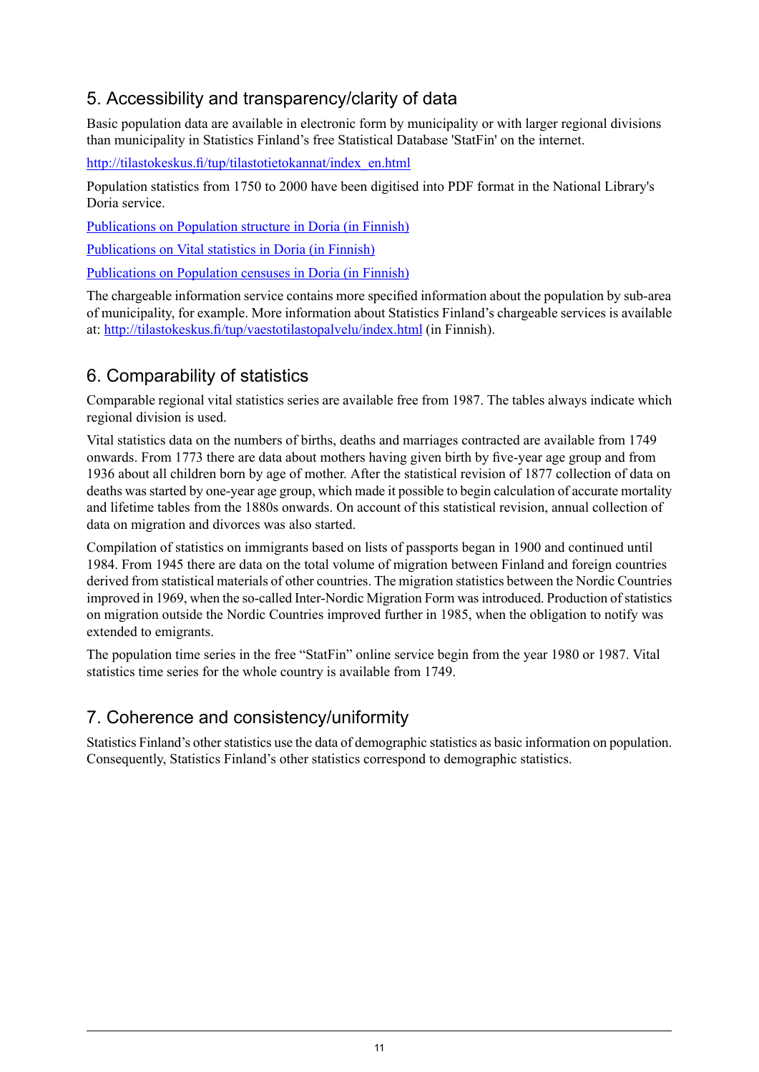## 5. Accessibility and transparency/clarity of data

Basic population data are available in electronic form by municipality or with larger regional divisions than municipality in Statistics Finland's free Statistical Database 'StatFin' on the internet.

[http://tilastokeskus.fi/tup/tilastotietokannat/index\\_en.html](http://tilastokeskus.fi/tup/tilastotietokannat/index_en.html)

Population statistics from 1750 to 2000 have been digitised into PDF format in the National Library's Doria service.

[Publications](http://www.doria.fi/handle/10024/67162) on Population structure in Doria (in Finnish)

[Publications](http://www.doria.fi/handle/10024/67161) on Vital statistics in Doria (in Finnish)

[Publications](http://www.doria.fi/handle/10024/67160) on Population censuses in Doria (in Finnish)

The chargeable information service contains more specified information about the population by sub-area of municipality, for example. More information about Statistics Finland's chargeable services is available at: <http://tilastokeskus.fi/tup/vaestotilastopalvelu/index.html> (in Finnish).

## 6. Comparability of statistics

Comparable regional vital statistics series are available free from 1987. The tables always indicate which regional division is used.

Vital statistics data on the numbers of births, deaths and marriages contracted are available from 1749 onwards. From 1773 there are data about mothers having given birth by five-year age group and from 1936 about all children born by age of mother. After the statistical revision of 1877 collection of data on deaths was started by one-year age group, which made it possible to begin calculation of accurate mortality and lifetime tables from the 1880s onwards. On account of this statistical revision, annual collection of data on migration and divorces was also started.

Compilation of statistics on immigrants based on lists of passports began in 1900 and continued until 1984. From 1945 there are data on the total volume of migration between Finland and foreign countries derived from statistical materials of other countries. The migration statistics between the Nordic Countries improved in 1969, when the so-called Inter-Nordic Migration Form was introduced. Production of statistics on migration outside the Nordic Countries improved further in 1985, when the obligation to notify was extended to emigrants.

The population time series in the free "StatFin" online service begin from the year 1980 or 1987. Vital statistics time series for the whole country is available from 1749.

## 7. Coherence and consistency/uniformity

Statistics Finland's other statistics use the data of demographic statistics as basic information on population. Consequently, Statistics Finland's other statistics correspond to demographic statistics.